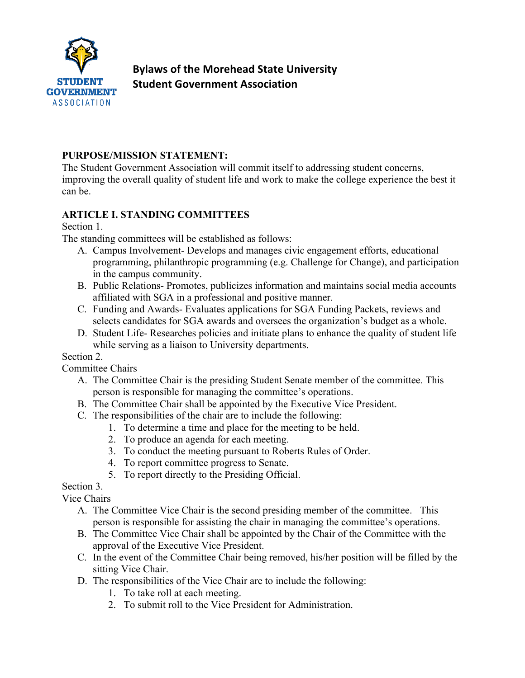

# **Bylaws of the Morehead State University Student Government Association**

#### **PURPOSE/MISSION STATEMENT:**

The Student Government Association will commit itself to addressing student concerns, improving the overall quality of student life and work to make the college experience the best it can be.

### **ARTICLE I. STANDING COMMITTEES**

Section 1.

The standing committees will be established as follows:

- A. Campus Involvement- Develops and manages civic engagement efforts, educational programming, philanthropic programming (e.g. Challenge for Change), and participation in the campus community.
- B. Public Relations- Promotes, publicizes information and maintains social media accounts affiliated with SGA in a professional and positive manner.
- C. Funding and Awards- Evaluates applications for SGA Funding Packets, reviews and selects candidates for SGA awards and oversees the organization's budget as a whole.
- D. Student Life- Researches policies and initiate plans to enhance the quality of student life while serving as a liaison to University departments.

Section 2.

Committee Chairs

- A. The Committee Chair is the presiding Student Senate member of the committee. This person is responsible for managing the committee's operations.
- B. The Committee Chair shall be appointed by the Executive Vice President.
- C. The responsibilities of the chair are to include the following:
	- 1. To determine a time and place for the meeting to be held.
	- 2. To produce an agenda for each meeting.
	- 3. To conduct the meeting pursuant to Roberts Rules of Order.
	- 4. To report committee progress to Senate.
	- 5. To report directly to the Presiding Official.

Section 3.

Vice Chairs

- A. The Committee Vice Chair is the second presiding member of the committee. This person is responsible for assisting the chair in managing the committee's operations.
- B. The Committee Vice Chair shall be appointed by the Chair of the Committee with the approval of the Executive Vice President.
- C. In the event of the Committee Chair being removed, his/her position will be filled by the sitting Vice Chair.
- D. The responsibilities of the Vice Chair are to include the following:
	- 1. To take roll at each meeting.
	- 2. To submit roll to the Vice President for Administration.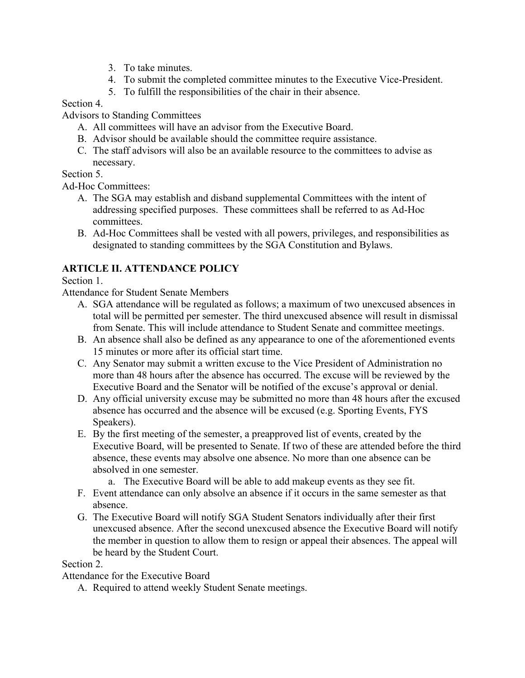- 3. To take minutes.
- 4. To submit the completed committee minutes to the Executive Vice-President.
- 5. To fulfill the responsibilities of the chair in their absence.

#### Section 4.

Advisors to Standing Committees

- A. All committees will have an advisor from the Executive Board.
- B. Advisor should be available should the committee require assistance.
- C. The staff advisors will also be an available resource to the committees to advise as necessary.

### Section 5.

Ad-Hoc Committees:

- A. The SGA may establish and disband supplemental Committees with the intent of addressing specified purposes. These committees shall be referred to as Ad-Hoc committees.
- B. Ad-Hoc Committees shall be vested with all powers, privileges, and responsibilities as designated to standing committees by the SGA Constitution and Bylaws.

## **ARTICLE II. ATTENDANCE POLICY**

#### Section 1.

Attendance for Student Senate Members

- A. SGA attendance will be regulated as follows; a maximum of two unexcused absences in total will be permitted per semester. The third unexcused absence will result in dismissal from Senate. This will include attendance to Student Senate and committee meetings.
- B. An absence shall also be defined as any appearance to one of the aforementioned events 15 minutes or more after its official start time.
- C. Any Senator may submit a written excuse to the Vice President of Administration no more than 48 hours after the absence has occurred. The excuse will be reviewed by the Executive Board and the Senator will be notified of the excuse's approval or denial.
- D. Any official university excuse may be submitted no more than 48 hours after the excused absence has occurred and the absence will be excused (e.g. Sporting Events, FYS Speakers).
- E. By the first meeting of the semester, a preapproved list of events, created by the Executive Board, will be presented to Senate. If two of these are attended before the third absence, these events may absolve one absence. No more than one absence can be absolved in one semester.
	- a. The Executive Board will be able to add makeup events as they see fit.
- F. Event attendance can only absolve an absence if it occurs in the same semester as that absence.
- G. The Executive Board will notify SGA Student Senators individually after their first unexcused absence. After the second unexcused absence the Executive Board will notify the member in question to allow them to resign or appeal their absences. The appeal will be heard by the Student Court.

### Section 2.

Attendance for the Executive Board

A. Required to attend weekly Student Senate meetings.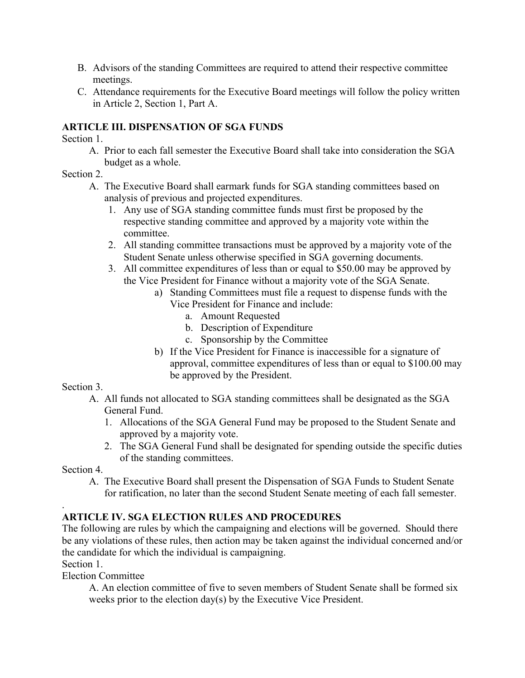- B. Advisors of the standing Committees are required to attend their respective committee meetings.
- C. Attendance requirements for the Executive Board meetings will follow the policy written in Article 2, Section 1, Part A.

#### **ARTICLE III. DISPENSATION OF SGA FUNDS**

Section 1.

A. Prior to each fall semester the Executive Board shall take into consideration the SGA budget as a whole.

Section 2.

- A. The Executive Board shall earmark funds for SGA standing committees based on analysis of previous and projected expenditures.
	- 1. Any use of SGA standing committee funds must first be proposed by the respective standing committee and approved by a majority vote within the committee.
	- 2. All standing committee transactions must be approved by a majority vote of the Student Senate unless otherwise specified in SGA governing documents.
	- 3. All committee expenditures of less than or equal to \$50.00 may be approved by the Vice President for Finance without a majority vote of the SGA Senate.
		- a) Standing Committees must file a request to dispense funds with the Vice President for Finance and include:
			- a. Amount Requested
			- b. Description of Expenditure
			- c. Sponsorship by the Committee
		- b) If the Vice President for Finance is inaccessible for a signature of approval, committee expenditures of less than or equal to \$100.00 may be approved by the President.

#### Section 3.

- A. All funds not allocated to SGA standing committees shall be designated as the SGA General Fund.
	- 1. Allocations of the SGA General Fund may be proposed to the Student Senate and approved by a majority vote.
	- 2. The SGA General Fund shall be designated for spending outside the specific duties of the standing committees.

Section 4.

.

A. The Executive Board shall present the Dispensation of SGA Funds to Student Senate for ratification, no later than the second Student Senate meeting of each fall semester.

#### **ARTICLE IV. SGA ELECTION RULES AND PROCEDURES**

The following are rules by which the campaigning and elections will be governed. Should there be any violations of these rules, then action may be taken against the individual concerned and/or the candidate for which the individual is campaigning.

Section 1.

Election Committee

A. An election committee of five to seven members of Student Senate shall be formed six weeks prior to the election day(s) by the Executive Vice President.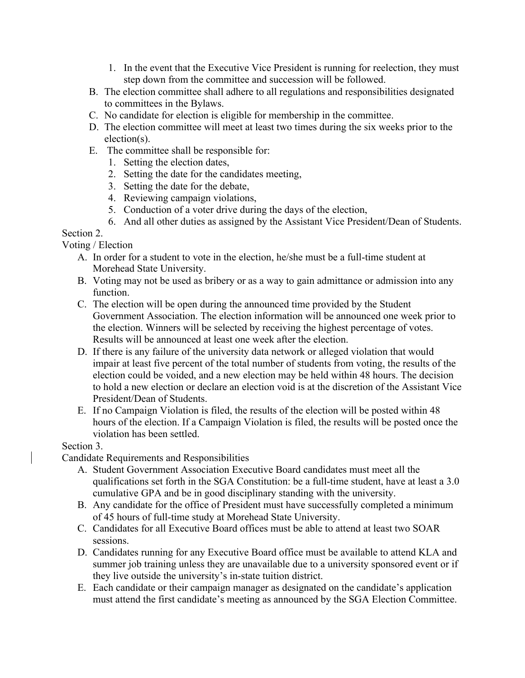- 1. In the event that the Executive Vice President is running for reelection, they must step down from the committee and succession will be followed.
- B. The election committee shall adhere to all regulations and responsibilities designated to committees in the Bylaws.
- C. No candidate for election is eligible for membership in the committee.
- D. The election committee will meet at least two times during the six weeks prior to the election(s).
- E. The committee shall be responsible for:
	- 1. Setting the election dates,
	- 2. Setting the date for the candidates meeting,
	- 3. Setting the date for the debate,
	- 4. Reviewing campaign violations,
	- 5. Conduction of a voter drive during the days of the election,
	- 6. And all other duties as assigned by the Assistant Vice President/Dean of Students.

#### Section 2.

Voting / Election

- A. In order for a student to vote in the election, he/she must be a full-time student at Morehead State University.
- B. Voting may not be used as bribery or as a way to gain admittance or admission into any function.
- C. The election will be open during the announced time provided by the Student Government Association. The election information will be announced one week prior to the election. Winners will be selected by receiving the highest percentage of votes. Results will be announced at least one week after the election.
- D. If there is any failure of the university data network or alleged violation that would impair at least five percent of the total number of students from voting, the results of the election could be voided, and a new election may be held within 48 hours. The decision to hold a new election or declare an election void is at the discretion of the Assistant Vice President/Dean of Students.
- E. If no Campaign Violation is filed, the results of the election will be posted within 48 hours of the election. If a Campaign Violation is filed, the results will be posted once the violation has been settled.

#### Section 3.

Candidate Requirements and Responsibilities

- A. Student Government Association Executive Board candidates must meet all the qualifications set forth in the SGA Constitution: be a full-time student, have at least a 3.0 cumulative GPA and be in good disciplinary standing with the university.
- B. Any candidate for the office of President must have successfully completed a minimum of 45 hours of full-time study at Morehead State University.
- C. Candidates for all Executive Board offices must be able to attend at least two SOAR sessions.
- D. Candidates running for any Executive Board office must be available to attend KLA and summer job training unless they are unavailable due to a university sponsored event or if they live outside the university's in-state tuition district.
- E. Each candidate or their campaign manager as designated on the candidate's application must attend the first candidate's meeting as announced by the SGA Election Committee.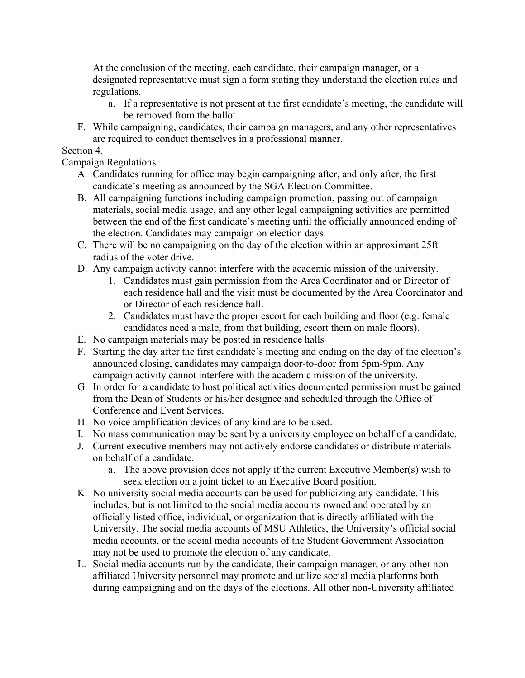At the conclusion of the meeting, each candidate, their campaign manager, or a designated representative must sign a form stating they understand the election rules and regulations.

- a. If a representative is not present at the first candidate's meeting, the candidate will be removed from the ballot.
- F. While campaigning, candidates, their campaign managers, and any other representatives are required to conduct themselves in a professional manner.

### Section 4.

Campaign Regulations

- A. Candidates running for office may begin campaigning after, and only after, the first candidate's meeting as announced by the SGA Election Committee.
- B. All campaigning functions including campaign promotion, passing out of campaign materials, social media usage, and any other legal campaigning activities are permitted between the end of the first candidate's meeting until the officially announced ending of the election. Candidates may campaign on election days.
- C. There will be no campaigning on the day of the election within an approximant 25ft radius of the voter drive.
- D. Any campaign activity cannot interfere with the academic mission of the university.
	- 1. Candidates must gain permission from the Area Coordinator and or Director of each residence hall and the visit must be documented by the Area Coordinator and or Director of each residence hall.
	- 2. Candidates must have the proper escort for each building and floor (e.g. female candidates need a male, from that building, escort them on male floors).
- E. No campaign materials may be posted in residence halls
- F. Starting the day after the first candidate's meeting and ending on the day of the election's announced closing, candidates may campaign door-to-door from 5pm-9pm. Any campaign activity cannot interfere with the academic mission of the university.
- G. In order for a candidate to host political activities documented permission must be gained from the Dean of Students or his/her designee and scheduled through the Office of Conference and Event Services.
- H. No voice amplification devices of any kind are to be used.
- I. No mass communication may be sent by a university employee on behalf of a candidate.
- J. Current executive members may not actively endorse candidates or distribute materials on behalf of a candidate.
	- a. The above provision does not apply if the current Executive Member(s) wish to seek election on a joint ticket to an Executive Board position.
- K. No university social media accounts can be used for publicizing any candidate. This includes, but is not limited to the social media accounts owned and operated by an officially listed office, individual, or organization that is directly affiliated with the University. The social media accounts of MSU Athletics, the University's official social media accounts, or the social media accounts of the Student Government Association may not be used to promote the election of any candidate.
- L. Social media accounts run by the candidate, their campaign manager, or any other nonaffiliated University personnel may promote and utilize social media platforms both during campaigning and on the days of the elections. All other non-University affiliated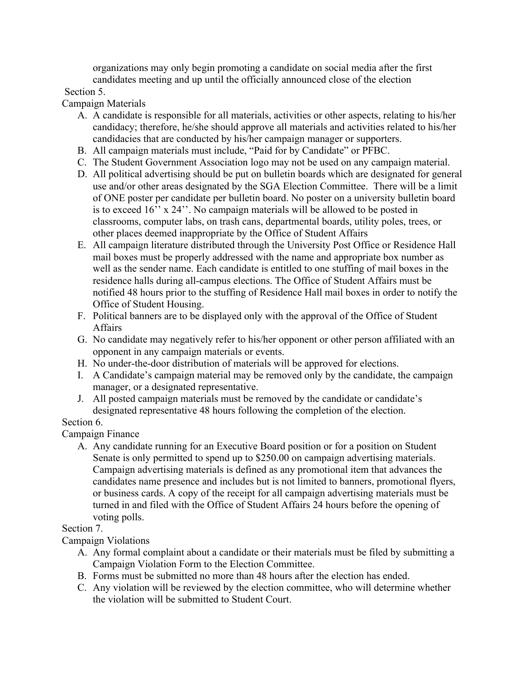organizations may only begin promoting a candidate on social media after the first candidates meeting and up until the officially announced close of the election

#### Section 5.

Campaign Materials

- A. A candidate is responsible for all materials, activities or other aspects, relating to his/her candidacy; therefore, he/she should approve all materials and activities related to his/her candidacies that are conducted by his/her campaign manager or supporters.
- B. All campaign materials must include, "Paid for by Candidate" or PFBC.
- C. The Student Government Association logo may not be used on any campaign material.
- D. All political advertising should be put on bulletin boards which are designated for general use and/or other areas designated by the SGA Election Committee. There will be a limit of ONE poster per candidate per bulletin board. No poster on a university bulletin board is to exceed 16'' x 24''. No campaign materials will be allowed to be posted in classrooms, computer labs, on trash cans, departmental boards, utility poles, trees, or other places deemed inappropriate by the Office of Student Affairs
- E. All campaign literature distributed through the University Post Office or Residence Hall mail boxes must be properly addressed with the name and appropriate box number as well as the sender name. Each candidate is entitled to one stuffing of mail boxes in the residence halls during all-campus elections. The Office of Student Affairs must be notified 48 hours prior to the stuffing of Residence Hall mail boxes in order to notify the Office of Student Housing.
- F. Political banners are to be displayed only with the approval of the Office of Student Affairs
- G. No candidate may negatively refer to his/her opponent or other person affiliated with an opponent in any campaign materials or events.
- H. No under-the-door distribution of materials will be approved for elections.
- I. A Candidate's campaign material may be removed only by the candidate, the campaign manager, or a designated representative.
- J. All posted campaign materials must be removed by the candidate or candidate's designated representative 48 hours following the completion of the election.

## Section 6.

Campaign Finance

A. Any candidate running for an Executive Board position or for a position on Student Senate is only permitted to spend up to \$250.00 on campaign advertising materials. Campaign advertising materials is defined as any promotional item that advances the candidates name presence and includes but is not limited to banners, promotional flyers, or business cards. A copy of the receipt for all campaign advertising materials must be turned in and filed with the Office of Student Affairs 24 hours before the opening of voting polls.

#### Section 7.

Campaign Violations

- A. Any formal complaint about a candidate or their materials must be filed by submitting a Campaign Violation Form to the Election Committee.
- B. Forms must be submitted no more than 48 hours after the election has ended.
- C. Any violation will be reviewed by the election committee, who will determine whether the violation will be submitted to Student Court.